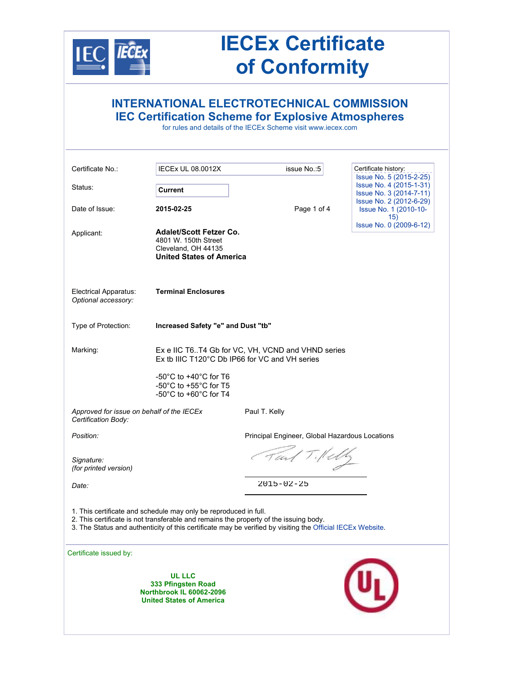

# **IECEx Certificate of Conformity**

|                                                                                                                                                                                                                                                                         |                                                                                                                                           | <b>INTERNATIONAL ELECTROTECHNICAL COMMISSION</b><br><b>IEC Certification Scheme for Explosive Atmospheres</b><br>for rules and details of the IECEx Scheme visit www.iecex.com |                                                         |  |  |
|-------------------------------------------------------------------------------------------------------------------------------------------------------------------------------------------------------------------------------------------------------------------------|-------------------------------------------------------------------------------------------------------------------------------------------|--------------------------------------------------------------------------------------------------------------------------------------------------------------------------------|---------------------------------------------------------|--|--|
| Certificate No.:                                                                                                                                                                                                                                                        | <b>IECEX UL 08.0012X</b>                                                                                                                  | issue No.: 5                                                                                                                                                                   | Certificate history:<br>Issue No. 5 (2015-2-25)         |  |  |
| Status:                                                                                                                                                                                                                                                                 | Current                                                                                                                                   |                                                                                                                                                                                | Issue No. 4 (2015-1-31)<br>Issue No. 3 (2014-7-11)      |  |  |
| Date of Issue:                                                                                                                                                                                                                                                          | 2015-02-25                                                                                                                                | Page 1 of 4                                                                                                                                                                    | Issue No. 2 (2012-6-29)<br>Issue No. 1 (2010-10-<br>15) |  |  |
| Applicant:                                                                                                                                                                                                                                                              | <b>Adalet/Scott Fetzer Co.</b><br>4801 W. 150th Street<br>Cleveland, OH 44135<br><b>United States of America</b>                          |                                                                                                                                                                                | Issue No. 0 (2009-6-12)                                 |  |  |
| <b>Electrical Apparatus:</b><br>Optional accessory:                                                                                                                                                                                                                     | <b>Terminal Enclosures</b>                                                                                                                |                                                                                                                                                                                |                                                         |  |  |
| Type of Protection:                                                                                                                                                                                                                                                     | Increased Safety "e" and Dust "tb"                                                                                                        |                                                                                                                                                                                |                                                         |  |  |
| Marking:                                                                                                                                                                                                                                                                | Ex e IIC T6T4 Gb for VC, VH, VCND and VHND series<br>Ex tb IIIC T120°C Db IP66 for VC and VH series                                       |                                                                                                                                                                                |                                                         |  |  |
|                                                                                                                                                                                                                                                                         | -50 $^{\circ}$ C to +40 $^{\circ}$ C for T6<br>-50 $^{\circ}$ C to +55 $^{\circ}$ C for T5<br>-50 $^{\circ}$ C to +60 $^{\circ}$ C for T4 |                                                                                                                                                                                |                                                         |  |  |
| Approved for issue on behalf of the IECEx<br>Certification Body:                                                                                                                                                                                                        |                                                                                                                                           | Paul T. Kelly                                                                                                                                                                  |                                                         |  |  |
| Position:                                                                                                                                                                                                                                                               | Principal Engineer, Global Hazardous Locations                                                                                            |                                                                                                                                                                                |                                                         |  |  |
| Signature:<br>(for printed version)                                                                                                                                                                                                                                     | Fait Tildly                                                                                                                               |                                                                                                                                                                                |                                                         |  |  |
| Date:                                                                                                                                                                                                                                                                   | 2015-02-25                                                                                                                                |                                                                                                                                                                                |                                                         |  |  |
| 1. This certificate and schedule may only be reproduced in full.<br>2. This certificate is not transferable and remains the property of the issuing body.<br>3. The Status and authenticity of this certificate may be verified by visiting the Official IECEx Website. |                                                                                                                                           |                                                                                                                                                                                |                                                         |  |  |
| Certificate issued by:                                                                                                                                                                                                                                                  |                                                                                                                                           |                                                                                                                                                                                |                                                         |  |  |
|                                                                                                                                                                                                                                                                         | <b>UL LLC</b><br>333 Pfingsten Road<br><b>Northbrook IL 60062-2096</b><br><b>United States of America</b>                                 |                                                                                                                                                                                |                                                         |  |  |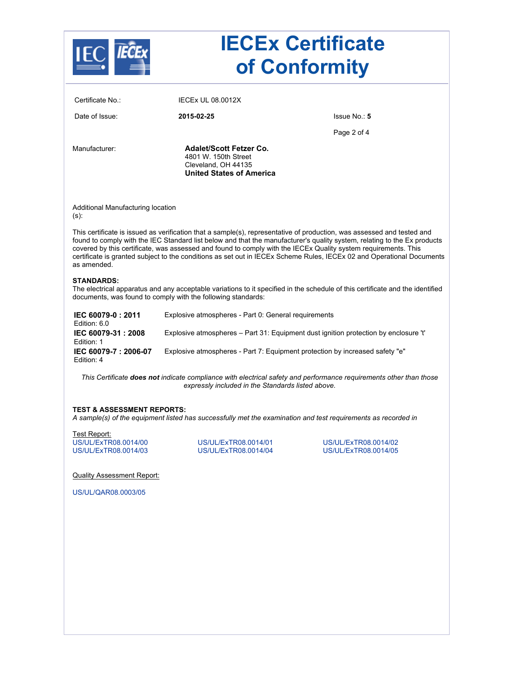| <b>IECEx Certificate</b><br>of Conformity    |                                                                                                                  |                                                                                                                                                                                                                                                                                                                                                                             |  |  |
|----------------------------------------------|------------------------------------------------------------------------------------------------------------------|-----------------------------------------------------------------------------------------------------------------------------------------------------------------------------------------------------------------------------------------------------------------------------------------------------------------------------------------------------------------------------|--|--|
| Certificate No.:                             | <b>IECEX UL 08.0012X</b>                                                                                         |                                                                                                                                                                                                                                                                                                                                                                             |  |  |
| Date of Issue:                               | 2015-02-25                                                                                                       | Issue No.: 5                                                                                                                                                                                                                                                                                                                                                                |  |  |
|                                              |                                                                                                                  | Page 2 of 4                                                                                                                                                                                                                                                                                                                                                                 |  |  |
| Manufacturer:                                | <b>Adalet/Scott Fetzer Co.</b><br>4801 W. 150th Street<br>Cleveland, OH 44135<br><b>United States of America</b> |                                                                                                                                                                                                                                                                                                                                                                             |  |  |
| Additional Manufacturing location<br>$(s)$ : |                                                                                                                  |                                                                                                                                                                                                                                                                                                                                                                             |  |  |
| as amended.                                  | covered by this certificate, was assessed and found to comply with the IECEx Quality system requirements. This   | This certificate is issued as verification that a sample(s), representative of production, was assessed and tested and<br>found to comply with the IEC Standard list below and that the manufacturer's quality system, relating to the Ex products<br>certificate is granted subject to the conditions as set out in IECEx Scheme Rules, IECEx 02 and Operational Documents |  |  |
| <b>STANDARDS:</b>                            | documents, was found to comply with the following standards:                                                     | The electrical apparatus and any acceptable variations to it specified in the schedule of this certificate and the identified                                                                                                                                                                                                                                               |  |  |
| IEC 60079-0: 2011<br>Edition: 6.0            | Explosive atmospheres - Part 0: General requirements                                                             |                                                                                                                                                                                                                                                                                                                                                                             |  |  |
| IEC 60079-31:2008<br>Edition: 1              | Explosive atmospheres - Part 31: Equipment dust ignition protection by enclosure 't'                             |                                                                                                                                                                                                                                                                                                                                                                             |  |  |
| IEC 60079-7: 2006-07<br>Edition: 4           | Explosive atmospheres - Part 7: Equipment protection by increased safety "e"                                     |                                                                                                                                                                                                                                                                                                                                                                             |  |  |
|                                              | expressly included in the Standards listed above.                                                                | This Certificate does not indicate compliance with electrical safety and performance requirements other than those                                                                                                                                                                                                                                                          |  |  |
| <b>TEST &amp; ASSESSMENT REPORTS:</b>        |                                                                                                                  | A sample(s) of the equipment listed has successfully met the examination and test requirements as recorded in                                                                                                                                                                                                                                                               |  |  |
|                                              |                                                                                                                  |                                                                                                                                                                                                                                                                                                                                                                             |  |  |
| Test Report:                                 |                                                                                                                  |                                                                                                                                                                                                                                                                                                                                                                             |  |  |
| US/UL/ExTR08.0014/00<br>US/UL/ExTR08.0014/03 | US/UL/ExTR08.0014/01<br>US/UL/ExTR08.0014/04                                                                     | US/UL/ExTR08.0014/02<br>US/UL/ExTR08.0014/05                                                                                                                                                                                                                                                                                                                                |  |  |
| <b>Quality Assessment Report:</b>            |                                                                                                                  |                                                                                                                                                                                                                                                                                                                                                                             |  |  |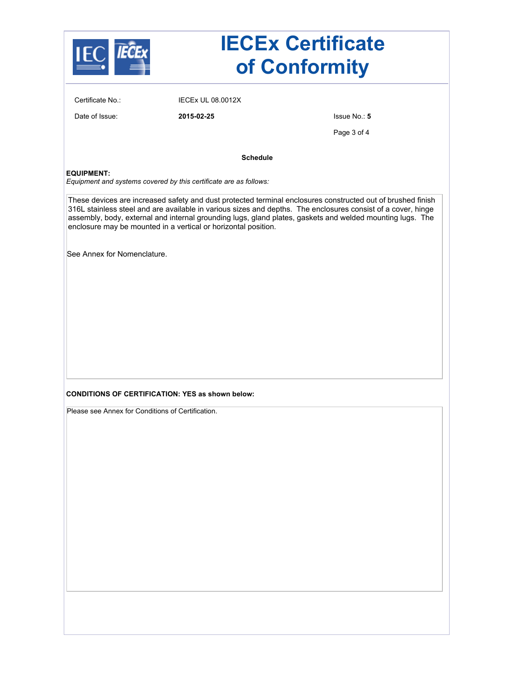|                                                   | <b>IECEx Certificate</b><br>of Conformity                         |                                                                                                                                                                                                                                                                                                                                          |  |  |
|---------------------------------------------------|-------------------------------------------------------------------|------------------------------------------------------------------------------------------------------------------------------------------------------------------------------------------------------------------------------------------------------------------------------------------------------------------------------------------|--|--|
| Certificate No.:                                  | <b>IECEX UL 08.0012X</b>                                          |                                                                                                                                                                                                                                                                                                                                          |  |  |
| Date of Issue:                                    | 2015-02-25                                                        | Issue No.: 5                                                                                                                                                                                                                                                                                                                             |  |  |
|                                                   |                                                                   | Page 3 of 4                                                                                                                                                                                                                                                                                                                              |  |  |
|                                                   | <b>Schedule</b>                                                   |                                                                                                                                                                                                                                                                                                                                          |  |  |
| <b>EQUIPMENT:</b>                                 | Equipment and systems covered by this certificate are as follows: |                                                                                                                                                                                                                                                                                                                                          |  |  |
|                                                   | enclosure may be mounted in a vertical or horizontal position.    | These devices are increased safety and dust protected terminal enclosures constructed out of brushed finish<br>316L stainless steel and are available in various sizes and depths. The enclosures consist of a cover, hinge<br>assembly, body, external and internal grounding lugs, gland plates, gaskets and welded mounting lugs. The |  |  |
| See Annex for Nomenclature.                       |                                                                   |                                                                                                                                                                                                                                                                                                                                          |  |  |
|                                                   |                                                                   |                                                                                                                                                                                                                                                                                                                                          |  |  |
|                                                   |                                                                   |                                                                                                                                                                                                                                                                                                                                          |  |  |
|                                                   |                                                                   |                                                                                                                                                                                                                                                                                                                                          |  |  |
|                                                   |                                                                   |                                                                                                                                                                                                                                                                                                                                          |  |  |
|                                                   |                                                                   |                                                                                                                                                                                                                                                                                                                                          |  |  |
|                                                   |                                                                   |                                                                                                                                                                                                                                                                                                                                          |  |  |
|                                                   | <b>CONDITIONS OF CERTIFICATION: YES as shown below:</b>           |                                                                                                                                                                                                                                                                                                                                          |  |  |
| Please see Annex for Conditions of Certification. |                                                                   |                                                                                                                                                                                                                                                                                                                                          |  |  |
|                                                   |                                                                   |                                                                                                                                                                                                                                                                                                                                          |  |  |
|                                                   |                                                                   |                                                                                                                                                                                                                                                                                                                                          |  |  |
|                                                   |                                                                   |                                                                                                                                                                                                                                                                                                                                          |  |  |
|                                                   |                                                                   |                                                                                                                                                                                                                                                                                                                                          |  |  |
|                                                   |                                                                   |                                                                                                                                                                                                                                                                                                                                          |  |  |
|                                                   |                                                                   |                                                                                                                                                                                                                                                                                                                                          |  |  |
|                                                   |                                                                   |                                                                                                                                                                                                                                                                                                                                          |  |  |
|                                                   |                                                                   |                                                                                                                                                                                                                                                                                                                                          |  |  |
|                                                   |                                                                   |                                                                                                                                                                                                                                                                                                                                          |  |  |
|                                                   |                                                                   |                                                                                                                                                                                                                                                                                                                                          |  |  |
|                                                   |                                                                   |                                                                                                                                                                                                                                                                                                                                          |  |  |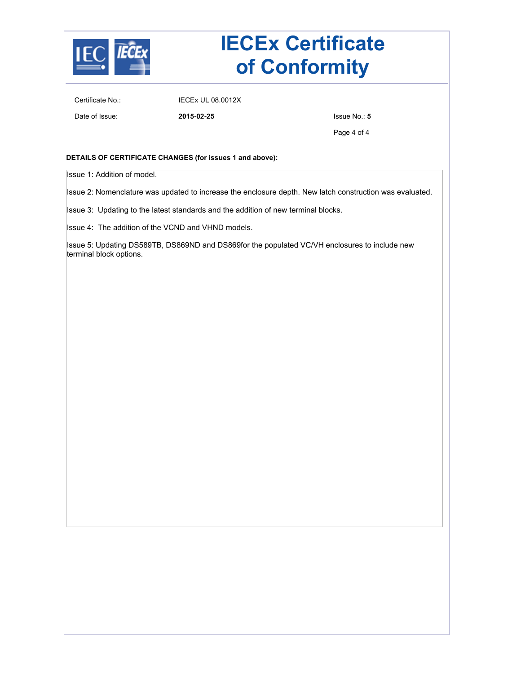

## **IECEx Certificate of Conformity**

Certificate No.: IECEx UL 08.0012X

Date of Issue: **2015-02-25** Issue No.: **5**

Page 4 of 4

#### **DETAILS OF CERTIFICATE CHANGES (for issues 1 and above):**

Issue 1: Addition of model.

Issue 2: Nomenclature was updated to increase the enclosure depth. New latch construction was evaluated.

Issue 3: Updating to the latest standards and the addition of new terminal blocks.

Issue 4: The addition of the VCND and VHND models.

Issue 5: Updating DS589TB, DS869ND and DS869for the populated VC/VH enclosures to include new terminal block options.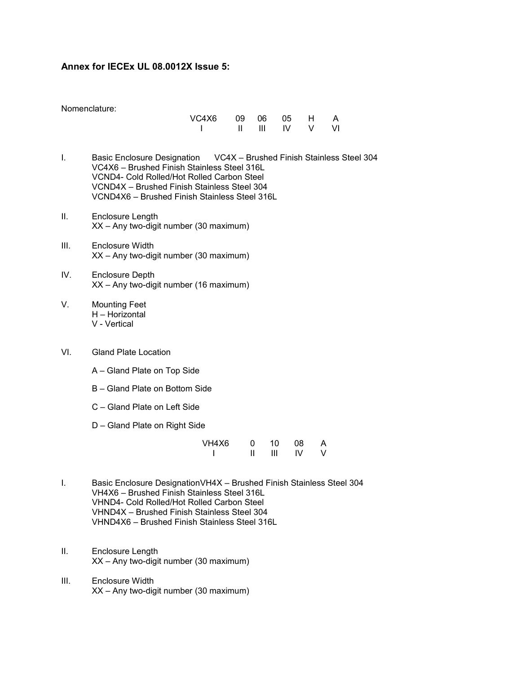## **Annex for IECEx UL 08.0012X Issue 5:**

| VC4X6 |                | 09 06 05 H |      | A |
|-------|----------------|------------|------|---|
|       | $\blacksquare$ | <b>IV</b>  | V VI |   |

- I. Basic Enclosure Designation VC4X Brushed Finish Stainless Steel 304 VC4X6 – Brushed Finish Stainless Steel 316L VCND4- Cold Rolled/Hot Rolled Carbon Steel VCND4X – Brushed Finish Stainless Steel 304 VCND4X6 – Brushed Finish Stainless Steel 316L
- II. Enclosure Length XX – Any two-digit number (30 maximum)
- III. Enclosure Width XX – Any two-digit number (30 maximum)
- IV. Enclosure Depth XX – Any two-digit number (16 maximum)
- V. Mounting Feet H – Horizontal V - Vertical
- VI. Gland Plate Location
	- A Gland Plate on Top Side
	- B Gland Plate on Bottom Side
	- C Gland Plate on Left Side
	- D Gland Plate on Right Side

| VH4X6 | ი | 10 | 08 | A |
|-------|---|----|----|---|
|       |   | Ш  | IV | v |

- I. Basic Enclosure DesignationVH4X Brushed Finish Stainless Steel 304 VH4X6 – Brushed Finish Stainless Steel 316L VHND4- Cold Rolled/Hot Rolled Carbon Steel VHND4X – Brushed Finish Stainless Steel 304 VHND4X6 – Brushed Finish Stainless Steel 316L
- II. Enclosure Length XX – Any two-digit number (30 maximum)
- III. Enclosure Width XX – Any two-digit number (30 maximum)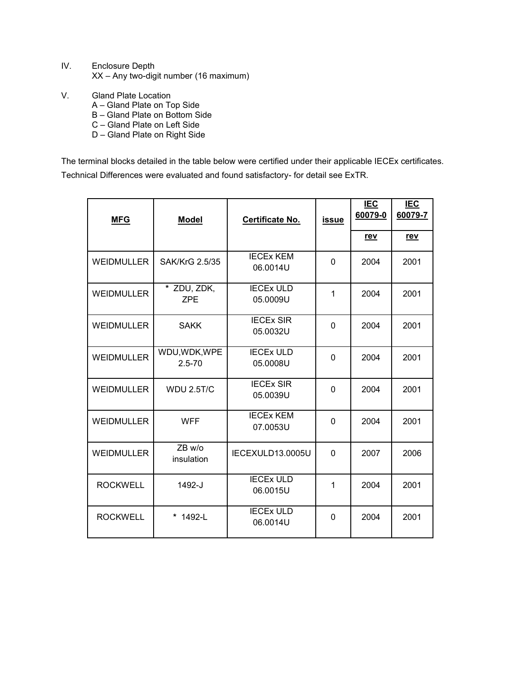- IV. Enclosure Depth XX – Any two-digit number (16 maximum)
- V. Gland Plate Location
	- A Gland Plate on Top Side
	- B Gland Plate on Bottom Side
	- C Gland Plate on Left Side
	- D Gland Plate on Right Side

The terminal blocks detailed in the table below were certified under their applicable IECEx certificates. Technical Differences were evaluated and found satisfactory- for detail see ExTR.

| <b>MFG</b>        | <b>Model</b>                | Certificate No.              | <b>issue</b> | <b>IEC</b><br>60079-0 | <b>IEC</b><br>60079-7 |
|-------------------|-----------------------------|------------------------------|--------------|-----------------------|-----------------------|
|                   |                             |                              |              | <u>rev</u>            | <u>rev</u>            |
| <b>WEIDMULLER</b> | SAK/KrG 2.5/35              | <b>IECEX KEM</b><br>06.0014U | $\Omega$     | 2004                  | 2001                  |
| <b>WEIDMULLER</b> | * ZDU, ZDK,<br><b>ZPE</b>   | <b>IECEX ULD</b><br>05.0009U | 1            | 2004                  | 2001                  |
| <b>WEIDMULLER</b> | <b>SAKK</b>                 | <b>IECEX SIR</b><br>05.0032U | 0            | 2004                  | 2001                  |
| <b>WEIDMULLER</b> | WDU, WDK, WPE<br>$2.5 - 70$ | <b>IECEX ULD</b><br>05.0008U | 0            | 2004                  | 2001                  |
| <b>WEIDMULLER</b> | <b>WDU 2.5T/C</b>           | <b>IECEX SIR</b><br>05.0039U | $\mathbf 0$  | 2004                  | 2001                  |
| <b>WEIDMULLER</b> | <b>WFF</b>                  | <b>IECEX KEM</b><br>07.0053U | 0            | 2004                  | 2001                  |
| <b>WEIDMULLER</b> | ZB w/o<br>insulation        | IECEXULD13.0005U             | $\mathbf 0$  | 2007                  | 2006                  |
| <b>ROCKWELL</b>   | 1492-J                      | <b>IECEX ULD</b><br>06.0015U | 1            | 2004                  | 2001                  |
| <b>ROCKWELL</b>   | * 1492-L                    | <b>IECEX ULD</b><br>06.0014U | $\mathbf 0$  | 2004                  | 2001                  |